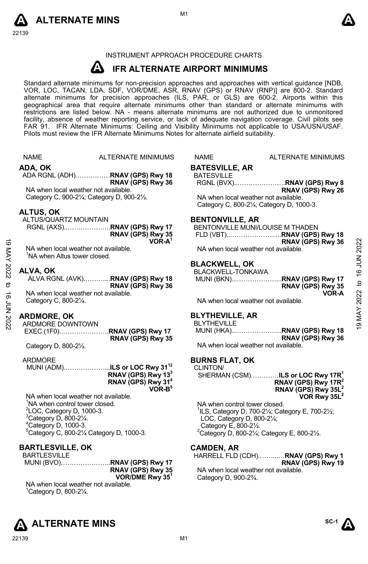



#### INSTRUMENT APPROACH PROCEDURE CHARTS

#### **A IFR ALTERNATE AIRPORT MINIMUMS**

Standard alternate minimums for non-precision approaches and approaches with vertical guidance [NDB,<br>VOR, LOC, TACAN, LDA, SDF, VOR/DME, ASR, RNAV (GPS) or RNAV (RNP)] are 800-2. Standard alternate minimums for precision approaches (ILS, PAR, or GLS) are 600-2. Airports within this geographical area that require alternate minimums other than standard or alternate minimums with restrictions are listed below. NA - means alternate minimums are not authorized due to unmonitored facility, absence of weather reporting service, or lack of adequate navigation coverage. Civil pilots see FAR 91. IFR Alternate Minimums: Ceiling and Visibility Minimums not applicable to USA/USN/USAF. Pilots must review the IFR Alternate Minimums Notes for alternate airfield suitability.

|             | <b>NAME</b>                                | <b>ALTERNATE MINIMUMS</b>                                                   | <b>NAME</b>                           | <b>ALTERNATE MINIMUMS</b>                                                               |                 |
|-------------|--------------------------------------------|-----------------------------------------------------------------------------|---------------------------------------|-----------------------------------------------------------------------------------------|-----------------|
|             | ADA, OK                                    |                                                                             | <b>BATESVILLE, AR</b>                 |                                                                                         |                 |
|             |                                            | ADA RGNL (ADH)RNAV (GPS) Rwy 18                                             | <b>BATESVILLE</b>                     |                                                                                         |                 |
|             |                                            | RNAV (GPS) Rwy 36                                                           |                                       | RGNL (BVX)RNAV (GPS) Rwy 8                                                              |                 |
|             | NA when local weather not available.       |                                                                             |                                       | RNAV (GPS) Rwy 26                                                                       |                 |
|             |                                            | Category C, 900-21/4; Category D, 900-21/2.                                 | NA when local weather not available.  |                                                                                         |                 |
|             |                                            |                                                                             |                                       | Category C, 800-21/4; Category D, 1000-3.                                               |                 |
|             | <b>ALTUS, OK</b>                           |                                                                             |                                       |                                                                                         |                 |
|             | ALTUS/QUARTZ MOUNTAIN                      |                                                                             | <b>BENTONVILLE, AR</b>                |                                                                                         |                 |
|             |                                            | RGNL (AXS)RNAV (GPS) Rwy 17                                                 |                                       | BENTONVILLE MUNI/LOUISE M THADEN                                                        |                 |
|             |                                            | RNAV (GPS) Rwy 35                                                           |                                       |                                                                                         |                 |
|             |                                            | VOR-A <sup>1</sup>                                                          |                                       | RNAV (GPS) Rwy 36                                                                       | 2022            |
|             | NA when local weather not available.       |                                                                             | NA when local weather not available.  |                                                                                         |                 |
| 19 MAY 2022 | <sup>1</sup> NA when Altus tower closed.   |                                                                             |                                       |                                                                                         | <b>16 JUN</b>   |
|             |                                            |                                                                             | <b>BLACKWELL, OK</b>                  |                                                                                         |                 |
|             | ALVA, OK                                   | ALVA RGNL (AVK)RNAV (GPS) Rwy 18                                            | BLACKWELL-TONKAWA                     | MUNI (BKN)RNAV (GPS) Rwy 17                                                             |                 |
| $\sigma$    |                                            | RNAV (GPS) Rwy 36                                                           |                                       | RNAV (GPS) Rwy 35                                                                       | $\overline{c}$  |
|             | NA when local weather not available.       |                                                                             |                                       | VOR-A                                                                                   |                 |
|             | Category C, 800-21/4.                      |                                                                             | NA when local weather not available.  |                                                                                         |                 |
|             |                                            |                                                                             |                                       |                                                                                         |                 |
| 16 JUN 2022 | <b>ARDMORE, OK</b>                         |                                                                             | <b>BLYTHEVILLE, AR</b>                |                                                                                         | <b>MAY 2022</b> |
|             | ARDMORE DOWNTOWN                           |                                                                             | <b>BLYTHEVILLE</b>                    |                                                                                         | G)              |
|             |                                            |                                                                             |                                       | MUNI (HKA)RNAV (GPS) Rwy 18                                                             |                 |
|             |                                            | RNAV (GPS) Rwy 35                                                           |                                       | RNAV (GPS) Rwy 36                                                                       |                 |
|             | Category D, 800-21/2.                      |                                                                             | NA when local weather not available.  |                                                                                         |                 |
|             |                                            |                                                                             |                                       |                                                                                         |                 |
|             | <b>ARDMORE</b>                             |                                                                             | <b>BURNS FLAT, OK</b>                 |                                                                                         |                 |
|             |                                            | MUNI (ADM)ILS or LOC Rwy 31 <sup>12</sup><br>RNAV (GPS) Rwy 13 <sup>3</sup> | CLINTON/                              |                                                                                         |                 |
|             |                                            |                                                                             |                                       | SHERMAN (CSM)ILS or LOC Rwy 17R <sup>1</sup>                                            |                 |
|             |                                            | RNAV (GPS) Rwy 31 <sup>4</sup><br>$VOR-B5$                                  |                                       | RNAV (GPS) Rwy 17 $R^2$<br>RNAV (GPS) Rwy 35L <sup>2</sup>                              |                 |
|             | NA when local weather not available.       |                                                                             |                                       | VOR Rwy 35L <sup>2</sup>                                                                |                 |
|             | <sup>1</sup> NA when control tower closed. |                                                                             | NA when control tower closed.         |                                                                                         |                 |
|             | <sup>2</sup> LOC, Category D, 1000-3.      |                                                                             |                                       | <sup>1</sup> ILS, Category D, 700-21/ <sub>4</sub> ; Category E, 700-21/ <sub>2</sub> ; |                 |
|             | $3$ Category D, 800-2 $\frac{1}{4}$ .      |                                                                             | LOC, Category D, $800-2\frac{1}{4}$ ; |                                                                                         |                 |
|             | <sup>4</sup> Category D, 1000-3.           |                                                                             | Category E, 800-21/2.                 |                                                                                         |                 |

#### 5 Category C, 800-2¼ Category D, 1000-3.

#### **BARTLESVILLE, OK**

| BARTLESVILLE |                             |
|--------------|-----------------------------|
|              | MUNI (BVO)RNAV (GPS) Rwy 17 |
|              | RNAV (GPS) Rwy 35           |
|              | VOR/DME Rwy $35^1$          |

NA when local weather not available. 1 Category D, 800-2¼.



hased. ILS, Category D, 700-2¼; Category E, 700-2½;  $2^{1/4}$ : Category E, 800-2½.<br><sup>2</sup>Category D, 800-2¼; Category E, 800-2½.

## **CAMDEN, AR**

HARRELL FLD (CDH).……...…**RNAV (GPS) Rwy 1 RNAV (GPS) Rwy 19**  NA when local weather not available. Category D, 900-2¾.

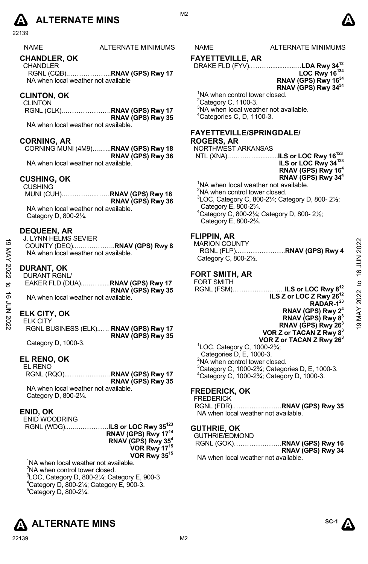

22139

NAME ALTERNATE MINIMUMS NAME ALTERNATE MINIMUMS

#### **CHANDLER, OK**

**CHANDLER** RGNL (CQB).………………..**RNAV (GPS) Rwy 17**  NA when local weather not available

#### **CLINTON, OK**

CLINTON RGNL (CLK).………………….**RNAV (GPS) Rwy 17 RNAV (GPS) Rwy 35**  NA when local weather not available.

**CORNING, AR** 

CORNING MUNI (4M9)….…..**RNAV (GPS) Rwy 18 RNAV (GPS) Rwy 36**  NA when local weather not available.

#### **CUSHING, OK**

CUSHING MUNI (CUH).…………....……**RNAV (GPS) Rwy 18 RNAV (GPS) Rwy 36** NA when local weather not available. Category D, 800-2¼.

#### **DEQUEEN, AR**

J. LYNN HELMS SEVIER COUNTY (DEQ)...……………..**RNAV (GPS) Rwy 8**  NA when local weather not available.

#### **DURANT, OK**

DURANT RGNL/ EAKER FLD (DUA)...……......**RNAV (GPS) Rwy 17 RNAV (GPS) Rwy 35**  NA when local weather not available. 19 MAY 2022 to 16 JUN 202219 MAY 2022 to 16 JUN 2022

#### **ELK CITY, OK**

ELK CITY RGNL BUSINESS (ELK)..…. **RNAV (GPS) Rwy 17 RNAV (GPS) Rwy 35** 

Category D, 1000-3.

#### **EL RENO, OK**

EL RENO RGNL (RQO)...……………….**RNAV (GPS) Rwy 17 RNAV (GPS) Rwy 35**  NA when local weather not available. Category D, 800-2¼.

#### **ENID, OK**

ENID WOODRING RGNL (WDG)...…..………….**ILS or LOC Rwy 35123**

**RNAV (GPS) Rwy 1714 RNAV (GPS) Rwy 354 VOR Rwy 1715 VOR Rwy 3515** 

<sup>1</sup>NA when local weather not available. <sup>2</sup>NA when control tower closed.  ${}^{3}$ LOC, Category D, 800-21/<sub>4</sub>; Category E, 900-3 4 Category D, 800-2¼; Category E, 900-3.  $5$ Category D, 800-2 $\frac{1}{4}$ .



M<sub>2</sub>

### **FAYETTEVILLE, AR**

DRAKE FLD (FYV).………..............…**LDA Rwy 3412 LOC Rwy 16134**

**RNAV (GPS) Rwy 1634 RNAV (GPS) Rwy 3434** 

<sup>1</sup>NA when control tower closed.  $2$ Category C, 1100-3. <sup>3</sup>NA when local weather not available. 4 Categories C, D, 1100-3.

## **FAYETTEVILLE/SPRINGDALE/**

### **ROGERS, AR**

NORTHWEST ARKANSAS NTL (XNA).………….............**ILS or LOC Rwy 16123 ILS or LOC Rwy 34123 RNAV (GPS) Rwy 164 RNAV (GPS) Rwy 344**  <sup>1</sup>NA when local weather not available.

<sup>2</sup>NA when control tower closed.  ${}^{3}$ LOC, Category C, 800-21⁄<sub>4</sub>; Category D, 800-21<sup>/2</sup>; Category E, 800-2¾. 4 Category C, 800-2¼; Category D, 800- 2½; Category E, 800-2¾.

#### **FLIPPIN, AR**

MARION COUNTY RGNL (FLP).………………….**RNAV (GPS) Rwy 4**  Category C, 800-2½.

#### **FORT SMITH, AR**

FORT SMITH RGNL (FSM)……………………**ILS or LOC Rwy 812 ILS Z or LOC Z Rwy 2612** 

**RADAR-123 RNAV (GPS) Rwy 24 RNAV (GPS) Rwy 83 RNAV (GPS) Rwy 263 VOR Z or TACAN Z Rwy 83 VOR Z or TACAN Z Rwy 263** 1 LOC, Category C, 1000-2¾; Categories D, E, 1000-3.

<sup>2</sup>NA when control tower closed. 3 Category C, 1000-2¾; Categories D, E, 1000-3. 4 Category C, 1000-2¾; Category D, 1000-3.

#### **FREDERICK, OK**

FREDERICK

RGNL (FDR).………………….**RNAV (GPS) Rwy 35**  NA when local weather not available.

#### **GUTHRIE, OK**

GUTHRIE/EDMOND RGNL (GOK)………………….**RNAV (GPS) Rwy 16 RNAV (GPS) Rwy 34**  NA when local weather not available.

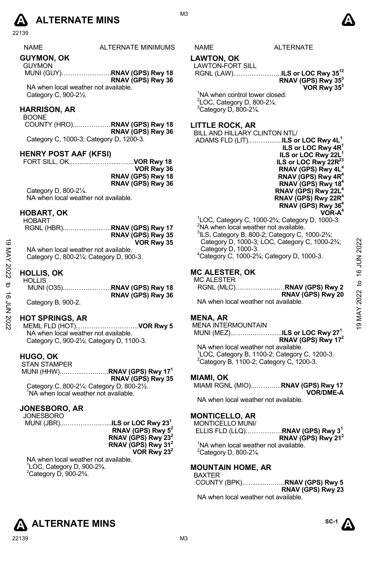# **A** ALTERNATE MINS  $\bullet$

22139

| <b>NAME</b>          | ALTERNATE MINIMUMS |
|----------------------|--------------------|
| <b>AUN/BEALL AIZ</b> |                    |

#### **GUYMON, OK**

GUYMON MUNI (GUY)…………………..**RNAV (GPS) Rwy 18 RNAV (GPS) Rwy 36**  NA when local weather not available.

Category C, 900-2½.

#### **HARRISON, AR**  BOONE

COUNTY (HRO)...……………**RNAV (GPS) Rwy 18 RNAV (GPS) Rwy 36**  Category C, 1000-3; Category D, 1200-3.

#### **HENRY POST AAF (KFSI)**

FORT SILL, OK..............………...….....**VOR Rwy 18 VOR Rwy 36 RNAV (GPS) Rwy 18 RNAV (GPS) Rwy 36**

Category D, 800-2¼. NA when local weather not available.

#### **HOBART, OK**

| HOBART |                   |
|--------|-------------------|
|        |                   |
|        | RNAV (GPS) Rwy 35 |
|        | VOR Rwy 35        |

#### **HOLLIS, OK**   $HOMHO$

| ಠ<br>XAN       | VOR Rwy 35<br>NA when local weather not available.<br>Category C, 800-21/4; Category D, 900-3. | Category D, 1000-3; LOC, Category C, 1000-2 <sup>3</sup> / <sub>4</sub> ;<br>Category D, 1000-3.<br><sup>4</sup> Category C, 1000-2 <sup>3</sup> / <sub>4</sub> ; Category D, 1000-3. | 2022<br>Ζ      |
|----------------|------------------------------------------------------------------------------------------------|---------------------------------------------------------------------------------------------------------------------------------------------------------------------------------------|----------------|
| 2022<br>ಕ<br>ಕ | <b>HOLLIS, OK</b><br><b>HOLLIS</b><br>RNAV (GPS) Rwy 36                                        | <b>MC ALESTER, OK</b><br><b>MC ALESTER</b><br>RNAV (GPS) Rwy 20                                                                                                                       | ဖ<br>ೆ<br>2022 |
| ξ<br>Σ         | Category B, 900-2.                                                                             | NA when local weather not available.                                                                                                                                                  |                |
| 2022           | <b>HOT SPRINGS, AR</b>                                                                         | <b>MENA, AR</b><br><b>MENA INTERMOUNTAIN</b>                                                                                                                                          | σ              |

#### **HOT SPRINGS, AR**

MEML FLD (HOT)………………………..**VOR Rwy 5** NA when local weather not available. Category C, 900-2½; Category D, 1100-3.

#### **HUGO, OK**

 STAN STAMPER MUNI (HHW)..……...……..…..**RNAV (GPS) Rwy 171 RNAV (GPS) Rwy 35**  Category C, 800-21/<sub>4</sub>; Category D, 800-21/2. <sup>1</sup>NA when local weather not available.

#### **JONESBORO, AR**

JONESBORO MUNI (JBR)...…………….…...**ILS or LOC Rwy 231** 

**RNAV (GPS) Rwy 52 RNAV (GPS) Rwy 232 RNAV (GPS) Rwy 312 VOR Rwy 232** 

NA when local weather not available. 1 LOC, Category D, 900-2¾.  $2$ Category D, 900-2 $\frac{3}{4}$ .

#### S NAME ALTERNATE

## **LAWTON, OK**

### LAWTON-FORT SILL

RGNL (LAW)...………………..**ILS or LOC Rwy 3512** 

## **RNAV (GPS) Rwy 353**

**VOR Rwy 353** 

<sup>1</sup>NA when control tower closed.  $2^2$ LOC, Category D, 800-2 $\frac{1}{4}$ .  $3$ Category D, 800-2 $\frac{1}{4}$ .

#### **LITTLE ROCK, AR**

BILL AND HILLARY CLINTON NTL/

- ADAMS FLD (LIT).……….......**ILS or LOC Rwy 4L1 ILS or LOC Rwy 4R1 ILS or LOC Rwy 22L ILS or LOC Rwy 22R<sup>23</sup> RNAV (GPS) Rwy 4L4 RNAV (GPS) Rwy 4R4 RNAV (GPS) Rwy 184 RNAV (GPS) Rwy 22L4 RNAV (GPS) Rwy 22R4 RNAV (GPS) Rwy 364 VOR-A4**
- $1$ LOC, Category C, 1000-2¾; Category D, 1000-3.  $2$ NA when local weather not available.  $3$ ILS, Category B, 800-2; Category C, 1000-2 $\frac{2}{4}$ ; Category D, 1000-3; LOC, Category C, 1000-2¾; Category D, 1000-3. 4 Category C, 1000-2¾; Category D, 1000-3.

#### **MC ALESTER, OK**

#### MC ALESTER RGNL (MLC)………………..…**RNAV (GPS) Rwy 2 RNAV (GPS) Rwy 20**

#### **MENA, AR**

MENA INTERMOUNTAIN

#### MUNI (MEZ)..……...…………..**ILS or LOC Rwy 271 RNAV (GPS) Rwy 172**

NA when local weather not available. 1 LOC, Category B, 1100-2; Category C, 1200-3.  $2$ Category B, 1100-2; Category C, 1200-3.

#### **MIAMI, OK**

#### MIAMI RGNL (MIO)..………....**RNAV (GPS) Rwy 17 VOR/DME-A**

NA when local weather not available.

#### **MONTICELLO, AR**

MONTICELLO MUNI/ ELLIS FLD (LLQ).…………….**RNAV (GPS) Rwy 31 RNAV (GPS) Rwy 212**  <sup>1</sup>NA when local weather not available.  $2$ Category D, 800-2 $\frac{1}{4}$ .

#### **MOUNTAIN HOME, AR**

| BAXTER                              |                   |
|-------------------------------------|-------------------|
|                                     |                   |
|                                     | RNAV (GPS) Rwy 23 |
| NA whon local woother not available |                   |

IA when local weather not available.





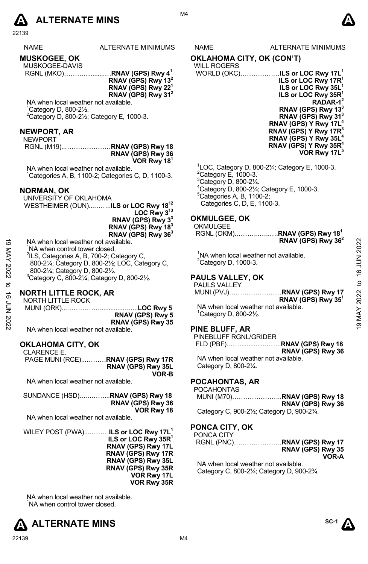

| NAME                | ALTERNATE MINIMUN |
|---------------------|-------------------|
| <b>MUSKOGEE, OK</b> |                   |
| MUSKOGEE-DAVIS      |                   |
|                     |                   |

 RGNL (MKO)………............…**RNAV (GPS) Rwy 41 RNAV (GPS) Rwy 132 RNAV (GPS) Rwy 221 RNAV (GPS) Rwy 312**

NA when local weather not available. 1 Category D, 800-2½.  $2$ Category D, 800-2 $\frac{1}{2}$ ; Category E, 1000-3.

#### **NEWPORT, AR**

NEWPORT

RGNL (M19)..…………………**RNAV (GPS) Rwy 18 RNAV (GPS) Rwy 36 VOR Rwy 181**

NA when local weather not available. 1 Categories A, B, 1100-2; Categories C, D, 1100-3.

#### **NORMAN, OK**

UNIVERSITY OF OKLAHOMA WESTHEIMER (OUN)...……..**ILS or LOC Rwy 1812 LOC Rwy 313** 

**RNAV (GPS) Rwy 33**

**RNAV (GPS) Rwy 183** 

**RNAV (GPS) Rwy 363** 

NA when local weather not available.

<sup>1</sup>NA when control tower closed.

<sup>2</sup>ILS, Categories A, B, 700-2; Category C, 800-2¼; Category D, 800-2½; LOC, Category C, 800-2¼; Category D, 800-2½.  $3$ Category C, 800-2 $\frac{1}{4}$ ; Category D, 800-2 $\frac{1}{2}$ .

#### **NORTH LITTLE ROCK, AR**

NORTH LITTLE ROCK MUNI (ORK)...……………...............…...**LOC Rwy 5 RNAV (GPS) Rwy 5 RNAV (GPS) Rwy 35**  NA when local weather not available. NA when local weather not available.<br>  $\frac{1}{2}$  MA when control tower closed.<br>  $\frac{1}{2}$  Also, Category D, 800-21/<sub>2</sub>; LGC, Category C,<br>  $\frac{1}{2}$  and 21/4; Category D, 800-21/<sub>2</sub>.<br>  $\frac{1}{2}$  and 21/4; Category D, 800-21/

#### **OKLAHOMA CITY, OK**

CLARENCE E. PAGE MUNI (RCE)...………**RNAV (GPS) Rwy 17R RNAV (GPS) Rwy 35L VOR-B** 

NA when local weather not available.

| SUNDANCE (HSD)RNAV (GPS) Rwy 18 |
|---------------------------------|
| RNAV (GPS) Rwy 36               |
| VOR Rwy 18                      |

NA when local weather not available.

WILEY POST (PWA)...………**ILS or LOC Rwy 17L1 ILS or LOC Rwy 35R1 RNAV (GPS) Rwy 17L RNAV (GPS) Rwy 17R RNAV (GPS) Rwy 35L RNAV (GPS) Rwy 35R VOR Rwy 17L VOR Rwy 35R** 

NA when local weather not available. <sup>1</sup>NA when control tower closed.



AS NAME ALTERNATE MINIMUMS

**OKLAHOMA CITY, OK (CON'T)** WILL ROGERS

| WORLD (OKC)…………… <b>ILS or LOC Rwy 17L<sup>1</sup></b> |
|--------------------------------------------------------|
| ILS or LOC Rwy 17R <sup>1</sup>                        |
| ILS or LOC Rwy 35L <sup>1</sup>                        |
| ILS or LOC Rwy 35R <sup>1</sup>                        |
| $RADAR-12$                                             |
| RNAV (GPS) Rwy $133$                                   |
| RNAV (GPS) Rwy 31 <sup>3</sup>                         |
| RNAV (GPS) Y Rwy 17L <sup>4</sup>                      |
| RNAV (GPS) Y Rwy 17R <sup>3</sup>                      |
| RNAV (GPS) Y Rwy 35L <sup>4</sup>                      |
| RNAV (GPS) Y Rwy 35 $R^4$                              |
| VOR Rwy 17L <sup>5</sup>                               |
|                                                        |

 $^{1}$ LOC, Category D, 800-2¼; Category E, 1000-3. Category E, 1000-3. Category D, 800-2 $\frac{1}{4}$ . Category D, 800-2 $\frac{1}{4}$ ; Category E, 1000-3. Categories A, B, 1100-2; Categories C, D, E, 1100-3.

#### **OKMULGEE, OK**

OKMULGEE

 RGNL (OKM).………..…..….**RNAV (GPS) Rwy 181 RNAV (GPS) Rwy 362** 

<sup>1</sup>NA when local weather not available.  $2$ Category D, 1000-3.

#### **PAULS VALLEY, OK**

PAULS VALLEY MUNI (PVJ)……………………**RNAV (GPS) Rwy 17 RNAV (GPS) Rwy 351** NA when local weather not available. 1 Category D, 800-2½.

## **PINE BLUFF, AR**

| INE DLUFF, AR                        |                   |
|--------------------------------------|-------------------|
| PINEBLUFF RGNL/GRIDER                |                   |
|                                      |                   |
|                                      | RNAV (GPS) Rwy 36 |
| NA when local weather not available. |                   |

Category D, 800-2¼.

#### **POCAHONTAS, AR**

POCAHONTAS

|                                                          | RNAV (GPS) Rwy 36 |
|----------------------------------------------------------|-------------------|
| Category C, 900-21/ <sub>2</sub> ; Category D, 900-23/4. |                   |

### **PONCA CITY, OK**

| PONCA CITY                                            |                   |
|-------------------------------------------------------|-------------------|
|                                                       |                   |
|                                                       | RNAV (GPS) Rwy 35 |
|                                                       | VOR-A             |
| NTA code e de la calciona externa esta acontrata tele |                   |

NA when local weather not available. Category C, 800-2¼; Category D, 900-2¾.



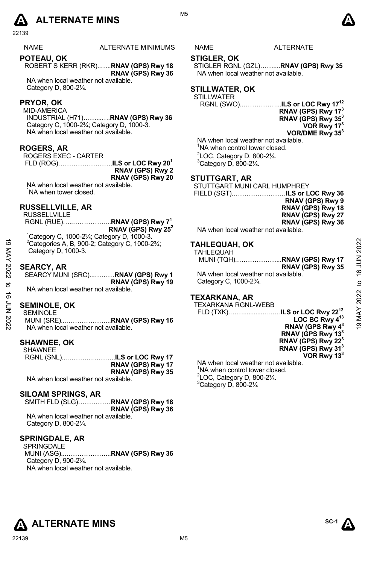

22139

NAME ALTERNATE MINIMUMS NAME ALTERNATE

**POTEAU, OK**  ROBERT S KERR (RKR)..…..**RNAV (GPS) Rwy 18 RNAV (GPS) Rwy 36**  NA when local weather not available.

Category D, 800-2¼.

#### **PRYOR, OK**

MID-AMERICA INDUSTRIAL (H71)……...….**RNAV (GPS) Rwy 36**  Category C, 1000-2¾; Category D, 1000-3. NA when local weather not available.

#### **ROGERS, AR**

ROGERS EXEC - CARTER

 FLD (ROG)…………………….**ILS or LOC Rwy 201 RNAV (GPS) Rwy 2 RNAV (GPS) Rwy 20** 

NA when local weather not available. <sup>1</sup>NA when tower closed.

#### **RUSSELLVILLE, AR**

RUSSELLVILLE

 RGNL (RUE)…..……………...**RNAV (GPS) Rwy 71 RNAV (GPS) Rwy 252** 

1 Category C, 1000-2¾; Category D, 1000-3. 2 Categories A, B, 900-2; Category C, 1000-2¾; Category D, 1000-3.

#### **SEARCY, AR**

#### **SEMINOLE, OK**

MUNI (SRE)...………………...**RNAV (GPS) Rwy 16**  NA when local weather not available.

#### **SHAWNEE, OK CHAMMEE**

| <b>UIMVILL</b>                       |                   |
|--------------------------------------|-------------------|
|                                      |                   |
|                                      | RNAV (GPS) Rwy 17 |
|                                      | RNAV (GPS) Rwy 35 |
| NA when local weather not available. |                   |

#### **SILOAM SPRINGS, AR**

SMITH FLD (SLG)……………**RNAV (GPS) Rwy 18 RNAV (GPS) Rwy 36**  NA when local weather not available. Category D, 800-2¼.

#### **SPRINGDALE, AR**

SPRINGDALE MUNI (ASG)...………………...**RNAV (GPS) Rwy 36**  Category D, 900-2¾. NA when local weather not available.

## **STIGLER, OK**

STIGLER RGNL (GZL)……....**RNAV (GPS) Rwy 35** NA when local weather not available.

#### **STILLWATER, OK**

STILLWATER

RGNL (SWO)..……………...**ILS or LOC Rwy 1712 RNAV (GPS) Rwy 173 RNAV (GPS) Rwy 353 VOR Rwy 173 VOR/DME Rwy 353**

NA when local weather not available. <sup>1</sup>NA when control tower closed.  $2^2$ LOC, Category D, 800-2 $\frac{1}{4}$ .  $3$ Category D, 800-2 $\frac{1}{4}$ .

#### **STUTTGART, AR**

STUTTGART MUNI CARL HUMPHREY

FIELD (SGT).……………………**ILS or LOC Rwy 36 RNAV (GPS) Rwy 9 RNAV (GPS) Rwy 18 RNAV (GPS) Rwy 27 RNAV (GPS) Rwy 36** 

NA when local weather not available.

#### **TAHLEQUAH, OK**

| <sup>2</sup> Categories A, B, 900-2; Category C, 1000-23/4; | <b>TAHLEQUAH, OK</b>                                                                                                                                 | 2022                                                                                                                  |
|-------------------------------------------------------------|------------------------------------------------------------------------------------------------------------------------------------------------------|-----------------------------------------------------------------------------------------------------------------------|
| Category D, 1000-3.                                         | <b>TAHLEQUAH</b>                                                                                                                                     |                                                                                                                       |
|                                                             |                                                                                                                                                      |                                                                                                                       |
|                                                             | RNAV (GPS) Rwy 35                                                                                                                                    | <b>NOTP 91</b>                                                                                                        |
|                                                             | NA when local weather not available.                                                                                                                 |                                                                                                                       |
|                                                             | Category C, 1000-2 <sup>3</sup> / <sub>4</sub> .                                                                                                     | ₫                                                                                                                     |
| NA when local weather not available.                        |                                                                                                                                                      |                                                                                                                       |
|                                                             |                                                                                                                                                      | 2022                                                                                                                  |
|                                                             |                                                                                                                                                      |                                                                                                                       |
|                                                             |                                                                                                                                                      | MAY                                                                                                                   |
|                                                             |                                                                                                                                                      |                                                                                                                       |
| NA when local weather not available.                        | RNAV (GPS Rwy 4 <sup>3</sup>                                                                                                                         | ë                                                                                                                     |
|                                                             | <b>SEARCY, AR</b><br>SEARCY MUNI (SRC)RNAV (GPS) Rwy 1<br>RNAV (GPS) Rwy 19<br><b>SEMINOLE, OK</b><br><b>SEMINOLE</b><br>MUNI (SRE)RNAV (GPS) Rwy 16 | <b>TEXARKANA, AR</b><br><b>TEXARKANA RGNL-WEBB</b><br>FLD (TXK)ILS or LOC Rwy 22 <sup>12</sup><br>LOC BC Rwy $4^{13}$ |

#### **TEXARKANA, AR**

 FLD (TXK).……...........…...…**ILS or LOC Rwy 2212 LOC BC Rwy 413 RNAV (GPS Rwy 43 RNAV (GPS Rwy 133 RNAV (GPS) Rwy 223 RNAV (GPS) Rwy 313 VOR Rwy 133**

NA when local weather not available. <sup>1</sup>NA when control tower closed.  $2^2$ LOC, Category D, 800-2 $\frac{1}{4}$ .  $3$ Category D, 800-2 $\frac{1}{4}$ 

**ALTERNATE MINS**  ${}^{\text{SC-1}}\Lambda$